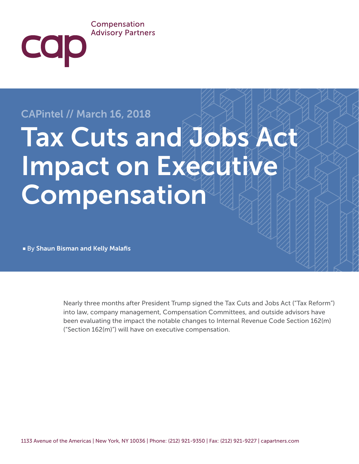#### Compensation **Advisory Partners**

## CAPintel // March 16, 2018

COD

# Tax Cuts and Jobs Act Impact on Executive Compensation

■ By Shaun Bisman and Kelly Malafis

Nearly three months after President Trump signed the Tax Cuts and Jobs Act ("Tax Reform") into law, company management, Compensation Committees, and outside advisors have been evaluating the impact the notable changes to Internal Revenue Code Section 162(m) ("Section 162(m)") will have on executive compensation.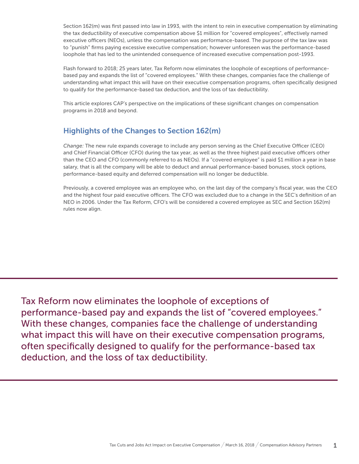Section 162(m) was first passed into law in 1993, with the intent to rein in executive compensation by eliminating the tax deductibility of executive compensation above \$1 million for "covered employees", effectively named executive officers (NEOs), unless the compensation was performance-based. The purpose of the tax law was to "punish" firms paying excessive executive compensation; however unforeseen was the performance-based loophole that has led to the unintended consequence of increased executive compensation post-1993.

Flash forward to 2018; 25 years later, Tax Reform now eliminates the loophole of exceptions of performancebased pay and expands the list of "covered employees." With these changes, companies face the challenge of understanding what impact this will have on their executive compensation programs, often specifically designed to qualify for the performance-based tax deduction, and the loss of tax deductibility.

This article explores CAP's perspective on the implications of these significant changes on compensation programs in 2018 and beyond.

### Highlights of the Changes to Section 162(m)

*Change:* The new rule expands coverage to include any person serving as the Chief Executive Officer (CEO) and Chief Financial Officer (CFO) during the tax year, as well as the three highest paid executive officers other than the CEO and CFO (commonly referred to as NEOs). If a "covered employee" is paid \$1 million a year in base salary, that is all the company will be able to deduct and annual performance-based bonuses, stock options, performance-based equity and deferred compensation will no longer be deductible.

Previously, a covered employee was an employee who, on the last day of the company's fiscal year, was the CEO and the highest four paid executive officers. The CFO was excluded due to a change in the SEC's definition of an NEO in 2006. Under the Tax Reform, CFO's will be considered a covered employee as SEC and Section 162(m) rules now align.

Tax Reform now eliminates the loophole of exceptions of performance-based pay and expands the list of "covered employees." With these changes, companies face the challenge of understanding what impact this will have on their executive compensation programs, often specifically designed to qualify for the performance-based tax deduction, and the loss of tax deductibility.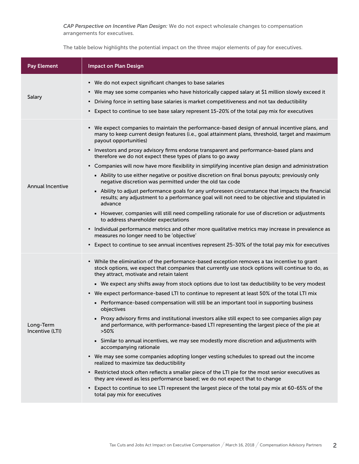*CAP Perspective on Incentive Plan Design:* We do not expect wholesale changes to compensation arrangements for executives.

The table below highlights the potential impact on the three major elements of pay for executives.

| <b>Pay Element</b>           | <b>Impact on Plan Design</b>                                                                                                                                                                                                                                                                                                                                                                                                                                                                                                                                                                                                                                                                                                                                                                                                                                                                                                                                                                                                                                                                                                                                                                                                                                                                                                                   |
|------------------------------|------------------------------------------------------------------------------------------------------------------------------------------------------------------------------------------------------------------------------------------------------------------------------------------------------------------------------------------------------------------------------------------------------------------------------------------------------------------------------------------------------------------------------------------------------------------------------------------------------------------------------------------------------------------------------------------------------------------------------------------------------------------------------------------------------------------------------------------------------------------------------------------------------------------------------------------------------------------------------------------------------------------------------------------------------------------------------------------------------------------------------------------------------------------------------------------------------------------------------------------------------------------------------------------------------------------------------------------------|
| Salary                       | • We do not expect significant changes to base salaries<br>• We may see some companies who have historically capped salary at \$1 million slowly exceed it<br>• Driving force in setting base salaries is market competitiveness and not tax deductibility<br>• Expect to continue to see base salary represent 15-20% of the total pay mix for executives                                                                                                                                                                                                                                                                                                                                                                                                                                                                                                                                                                                                                                                                                                                                                                                                                                                                                                                                                                                     |
| <b>Annual Incentive</b>      | • We expect companies to maintain the performance-based design of annual incentive plans, and<br>many to keep current design features (i.e., goal attainment plans, threshold, target and maximum<br>payout opportunities)<br>• Investors and proxy advisory firms endorse transparent and performance-based plans and<br>therefore we do not expect these types of plans to go away<br>• Companies will now have more flexibility in simplifying incentive plan design and administration<br>- Ability to use either negative or positive discretion on final bonus payouts; previously only<br>negative discretion was permitted under the old tax code<br>- Ability to adjust performance goals for any unforeseen circumstance that impacts the financial<br>results; any adjustment to a performance goal will not need to be objective and stipulated in<br>advance<br>- However, companies will still need compelling rationale for use of discretion or adjustments<br>to address shareholder expectations<br>• Individual performance metrics and other more qualitative metrics may increase in prevalence as<br>measures no longer need to be 'objective'<br>• Expect to continue to see annual incentives represent 25-30% of the total pay mix for executives                                                                     |
| Long-Term<br>Incentive (LTI) | • While the elimination of the performance-based exception removes a tax incentive to grant<br>stock options, we expect that companies that currently use stock options will continue to do, as<br>they attract, motivate and retain talent<br>• We expect any shifts away from stock options due to lost tax deductibility to be very modest<br>• We expect performance-based LTI to continue to represent at least 50% of the total LTI mix<br>Performance-based compensation will still be an important tool in supporting business<br>objectives<br>Proxy advisory firms and institutional investors alike still expect to see companies align pay<br>and performance, with performance-based LTI representing the largest piece of the pie at<br>$>50\%$<br>Similar to annual incentives, we may see modestly more discretion and adjustments with<br>accompanying rationale<br>• We may see some companies adopting longer vesting schedules to spread out the income<br>realized to maximize tax deductibility<br>• Restricted stock often reflects a smaller piece of the LTI pie for the most senior executives as<br>they are viewed as less performance based; we do not expect that to change<br>• Expect to continue to see LTI represent the largest piece of the total pay mix at 60-65% of the<br>total pay mix for executives |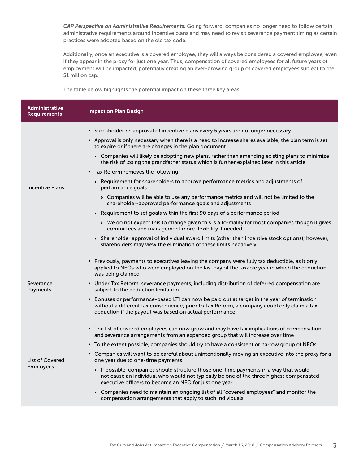*CAP Perspective on Administrative Requirements:* Going forward, companies no longer need to follow certain administrative requirements around incentive plans and may need to revisit severance payment timing as certain practices were adopted based on the old tax code.

Additionally, once an executive is a covered employee, they will always be considered a covered employee, even if they appear in the proxy for just one year. Thus, compensation of covered employees for all future years of employment will be impacted, potentially creating an ever-growing group of covered employees subject to the \$1 million cap.

The table below highlights the potential impact on these three key areas.

| <b>Administrative</b><br><b>Requirements</b> | <b>Impact on Plan Design</b>                                                                                                                                                                                                                         |
|----------------------------------------------|------------------------------------------------------------------------------------------------------------------------------------------------------------------------------------------------------------------------------------------------------|
| <b>Incentive Plans</b>                       | • Stockholder re-approval of incentive plans every 5 years are no longer necessary                                                                                                                                                                   |
|                                              | • Approval is only necessary when there is a need to increase shares available, the plan term is set<br>to expire or if there are changes in the plan document                                                                                       |
|                                              | • Companies will likely be adopting new plans, rather than amending existing plans to minimize<br>the risk of losing the grandfather status which is further explained later in this article                                                         |
|                                              | • Tax Reform removes the following:                                                                                                                                                                                                                  |
|                                              | • Requirement for shareholders to approve performance metrics and adjustments of<br>performance goals                                                                                                                                                |
|                                              | > Companies will be able to use any performance metrics and will not be limited to the<br>shareholder-approved performance goals and adjustments                                                                                                     |
|                                              | • Requirement to set goals within the first 90 days of a performance period                                                                                                                                                                          |
|                                              | > We do not expect this to change given this is a formality for most companies though it gives<br>committees and management more flexibility if needed                                                                                               |
|                                              | - Shareholder approval of individual award limits (other than incentive stock options); however,<br>shareholders may view the elimination of these limits negatively                                                                                 |
| Severance<br>Payments                        | • Previously, payments to executives leaving the company were fully tax deductible, as it only<br>applied to NEOs who were employed on the last day of the taxable year in which the deduction<br>was being claimed                                  |
|                                              | • Under Tax Reform, severance payments, including distribution of deferred compensation are<br>subject to the deduction limitation                                                                                                                   |
|                                              | • Bonuses or performance-based LTI can now be paid out at target in the year of termination<br>without a different tax consequence; prior to Tax Reform, a company could only claim a tax<br>deduction if the payout was based on actual performance |
| <b>List of Covered</b><br>Employees          | • The list of covered employees can now grow and may have tax implications of compensation<br>and severance arrangements from an expanded group that will increase over time                                                                         |
|                                              | • To the extent possible, companies should try to have a consistent or narrow group of NEOs                                                                                                                                                          |
|                                              | • Companies will want to be careful about unintentionally moving an executive into the proxy for a<br>one year due to one-time payments                                                                                                              |
|                                              | If possible, companies should structure those one-time payments in a way that would<br>not cause an individual who would not typically be one of the three highest compensated<br>executive officers to become an NEO for just one year              |
|                                              | • Companies need to maintain an ongoing list of all "covered employees" and monitor the<br>compensation arrangements that apply to such individuals                                                                                                  |